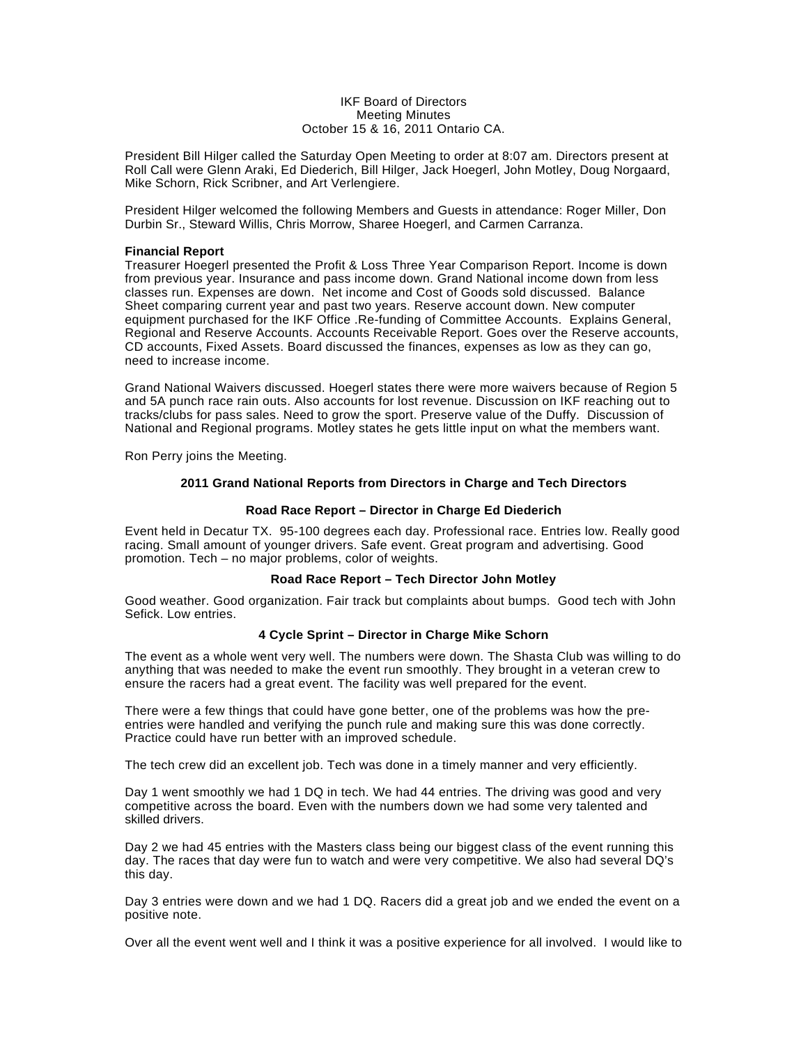#### IKF Board of Directors Meeting Minutes October 15 & 16, 2011 Ontario CA.

President Bill Hilger called the Saturday Open Meeting to order at 8:07 am. Directors present at Roll Call were Glenn Araki, Ed Diederich, Bill Hilger, Jack Hoegerl, John Motley, Doug Norgaard, Mike Schorn, Rick Scribner, and Art Verlengiere.

President Hilger welcomed the following Members and Guests in attendance: Roger Miller, Don Durbin Sr., Steward Willis, Chris Morrow, Sharee Hoegerl, and Carmen Carranza.

#### **Financial Report**

Treasurer Hoegerl presented the Profit & Loss Three Year Comparison Report. Income is down from previous year. Insurance and pass income down. Grand National income down from less classes run. Expenses are down. Net income and Cost of Goods sold discussed. Balance Sheet comparing current year and past two years. Reserve account down. New computer equipment purchased for the IKF Office .Re-funding of Committee Accounts. Explains General, Regional and Reserve Accounts. Accounts Receivable Report. Goes over the Reserve accounts, CD accounts, Fixed Assets. Board discussed the finances, expenses as low as they can go, need to increase income.

Grand National Waivers discussed. Hoegerl states there were more waivers because of Region 5 and 5A punch race rain outs. Also accounts for lost revenue. Discussion on IKF reaching out to tracks/clubs for pass sales. Need to grow the sport. Preserve value of the Duffy. Discussion of National and Regional programs. Motley states he gets little input on what the members want.

Ron Perry joins the Meeting.

## **2011 Grand National Reports from Directors in Charge and Tech Directors**

#### **Road Race Report – Director in Charge Ed Diederich**

Event held in Decatur TX. 95-100 degrees each day. Professional race. Entries low. Really good racing. Small amount of younger drivers. Safe event. Great program and advertising. Good promotion. Tech – no major problems, color of weights.

## **Road Race Report – Tech Director John Motley**

Good weather. Good organization. Fair track but complaints about bumps. Good tech with John Sefick. Low entries.

#### **4 Cycle Sprint – Director in Charge Mike Schorn**

The event as a whole went very well. The numbers were down. The Shasta Club was willing to do anything that was needed to make the event run smoothly. They brought in a veteran crew to ensure the racers had a great event. The facility was well prepared for the event.

There were a few things that could have gone better, one of the problems was how the preentries were handled and verifying the punch rule and making sure this was done correctly. Practice could have run better with an improved schedule.

The tech crew did an excellent job. Tech was done in a timely manner and very efficiently.

Day 1 went smoothly we had 1 DQ in tech. We had 44 entries. The driving was good and very competitive across the board. Even with the numbers down we had some very talented and skilled drivers.

Day 2 we had 45 entries with the Masters class being our biggest class of the event running this day. The races that day were fun to watch and were very competitive. We also had several DQ's this day.

Day 3 entries were down and we had 1 DQ. Racers did a great job and we ended the event on a positive note.

Over all the event went well and I think it was a positive experience for all involved. I would like to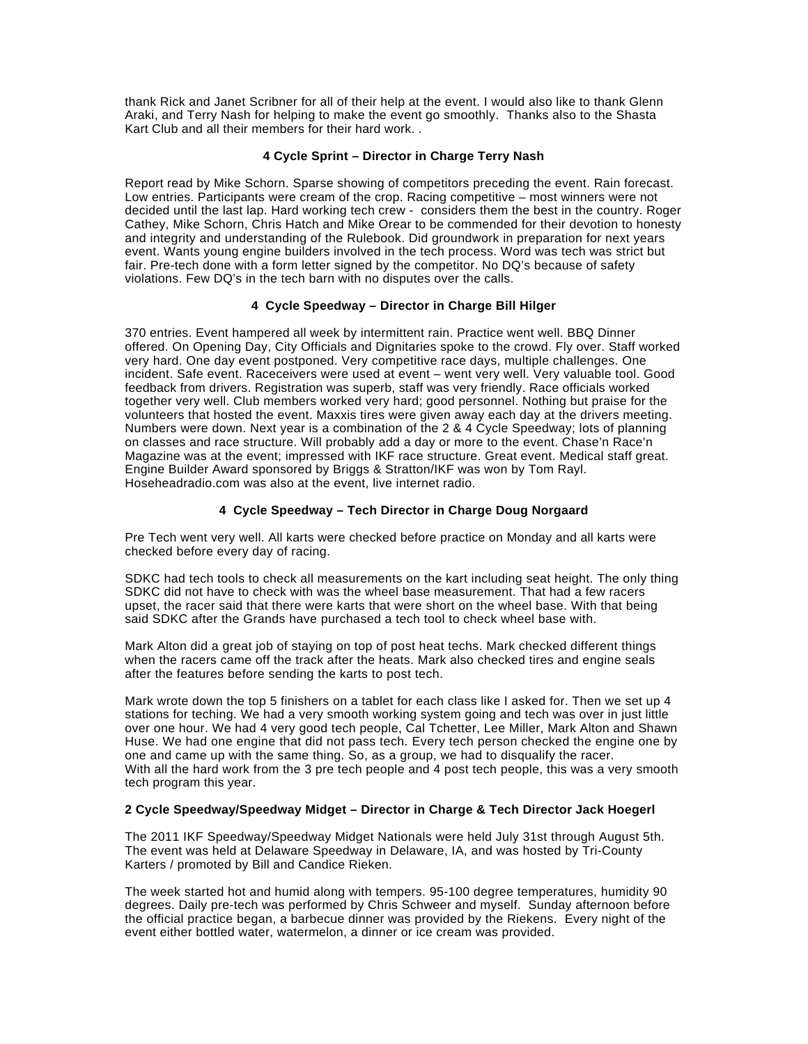thank Rick and Janet Scribner for all of their help at the event. I would also like to thank Glenn Araki, and Terry Nash for helping to make the event go smoothly. Thanks also to the Shasta Kart Club and all their members for their hard work. .

## **4 Cycle Sprint – Director in Charge Terry Nash**

Report read by Mike Schorn. Sparse showing of competitors preceding the event. Rain forecast. Low entries. Participants were cream of the crop. Racing competitive – most winners were not decided until the last lap. Hard working tech crew - considers them the best in the country. Roger Cathey, Mike Schorn, Chris Hatch and Mike Orear to be commended for their devotion to honesty and integrity and understanding of the Rulebook. Did groundwork in preparation for next years event. Wants young engine builders involved in the tech process. Word was tech was strict but fair. Pre-tech done with a form letter signed by the competitor. No DQ's because of safety violations. Few DQ's in the tech barn with no disputes over the calls.

## **4 Cycle Speedway – Director in Charge Bill Hilger**

370 entries. Event hampered all week by intermittent rain. Practice went well. BBQ Dinner offered. On Opening Day, City Officials and Dignitaries spoke to the crowd. Fly over. Staff worked very hard. One day event postponed. Very competitive race days, multiple challenges. One incident. Safe event. Raceceivers were used at event – went very well. Very valuable tool. Good feedback from drivers. Registration was superb, staff was very friendly. Race officials worked together very well. Club members worked very hard; good personnel. Nothing but praise for the volunteers that hosted the event. Maxxis tires were given away each day at the drivers meeting. Numbers were down. Next year is a combination of the 2 & 4 Cycle Speedway; lots of planning on classes and race structure. Will probably add a day or more to the event. Chase'n Race'n Magazine was at the event; impressed with IKF race structure. Great event. Medical staff great. Engine Builder Award sponsored by Briggs & Stratton/IKF was won by Tom Rayl. Hoseheadradio.com was also at the event, live internet radio.

## **4 Cycle Speedway – Tech Director in Charge Doug Norgaard**

Pre Tech went very well. All karts were checked before practice on Monday and all karts were checked before every day of racing.

SDKC had tech tools to check all measurements on the kart including seat height. The only thing SDKC did not have to check with was the wheel base measurement. That had a few racers upset, the racer said that there were karts that were short on the wheel base. With that being said SDKC after the Grands have purchased a tech tool to check wheel base with.

Mark Alton did a great job of staying on top of post heat techs. Mark checked different things when the racers came off the track after the heats. Mark also checked tires and engine seals after the features before sending the karts to post tech.

Mark wrote down the top 5 finishers on a tablet for each class like I asked for. Then we set up 4 stations for teching. We had a very smooth working system going and tech was over in just little over one hour. We had 4 very good tech people, Cal Tchetter, Lee Miller, Mark Alton and Shawn Huse. We had one engine that did not pass tech. Every tech person checked the engine one by one and came up with the same thing. So, as a group, we had to disqualify the racer. With all the hard work from the 3 pre tech people and 4 post tech people, this was a very smooth tech program this year.

## **2 Cycle Speedway/Speedway Midget – Director in Charge & Tech Director Jack Hoegerl**

The 2011 IKF Speedway/Speedway Midget Nationals were held July 31st through August 5th. The event was held at Delaware Speedway in Delaware, IA, and was hosted by Tri-County Karters / promoted by Bill and Candice Rieken.

The week started hot and humid along with tempers. 95-100 degree temperatures, humidity 90 degrees. Daily pre-tech was performed by Chris Schweer and myself. Sunday afternoon before the official practice began, a barbecue dinner was provided by the Riekens. Every night of the event either bottled water, watermelon, a dinner or ice cream was provided.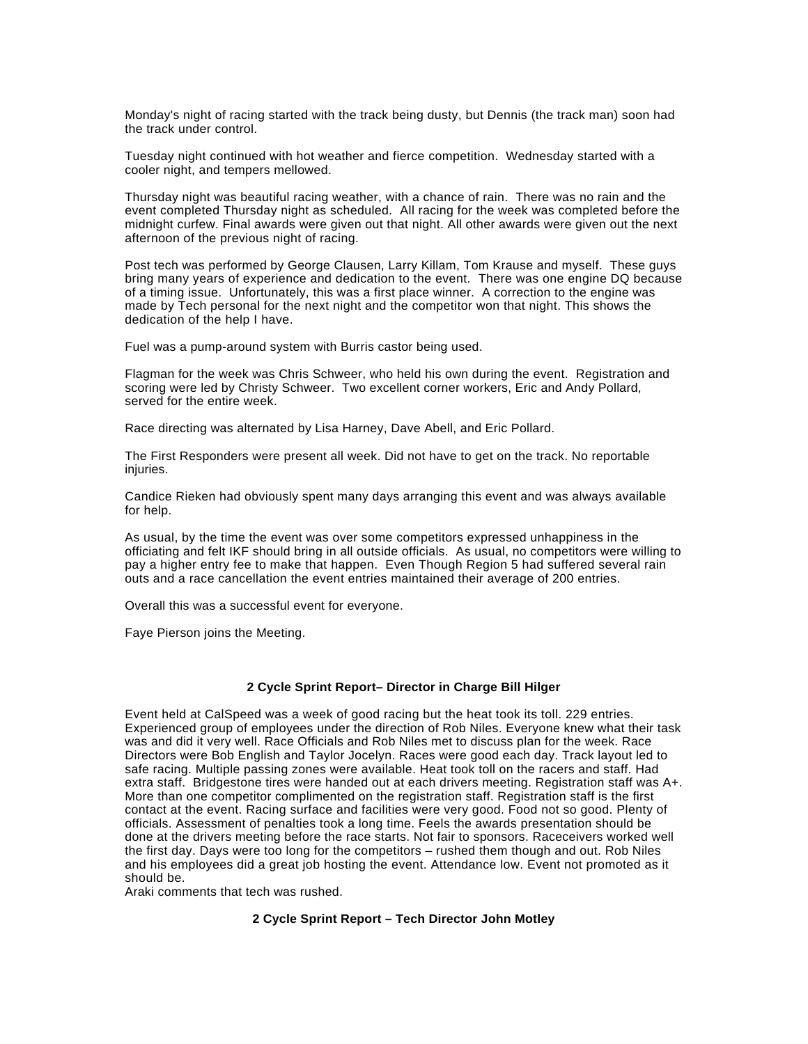Monday's night of racing started with the track being dusty, but Dennis (the track man) soon had the track under control.

Tuesday night continued with hot weather and fierce competition. Wednesday started with a cooler night, and tempers mellowed.

Thursday night was beautiful racing weather, with a chance of rain. There was no rain and the event completed Thursday night as scheduled. All racing for the week was completed before the midnight curfew. Final awards were given out that night. All other awards were given out the next afternoon of the previous night of racing.

Post tech was performed by George Clausen, Larry Killam, Tom Krause and myself. These guys bring many years of experience and dedication to the event. There was one engine DQ because of a timing issue. Unfortunately, this was a first place winner. A correction to the engine was made by Tech personal for the next night and the competitor won that night. This shows the dedication of the help I have.

Fuel was a pump-around system with Burris castor being used.

Flagman for the week was Chris Schweer, who held his own during the event. Registration and scoring were led by Christy Schweer. Two excellent corner workers, Eric and Andy Pollard, served for the entire week.

Race directing was alternated by Lisa Harney, Dave Abell, and Eric Pollard.

The First Responders were present all week. Did not have to get on the track. No reportable injuries.

Candice Rieken had obviously spent many days arranging this event and was always available for help.

As usual, by the time the event was over some competitors expressed unhappiness in the officiating and felt IKF should bring in all outside officials. As usual, no competitors were willing to pay a higher entry fee to make that happen. Even Though Region 5 had suffered several rain outs and a race cancellation the event entries maintained their average of 200 entries.

Overall this was a successful event for everyone.

Faye Pierson joins the Meeting.

## **2 Cycle Sprint Report– Director in Charge Bill Hilger**

Event held at CalSpeed was a week of good racing but the heat took its toll. 229 entries. Experienced group of employees under the direction of Rob Niles. Everyone knew what their task was and did it very well. Race Officials and Rob Niles met to discuss plan for the week. Race Directors were Bob English and Taylor Jocelyn. Races were good each day. Track layout led to safe racing. Multiple passing zones were available. Heat took toll on the racers and staff. Had extra staff. Bridgestone tires were handed out at each drivers meeting. Registration staff was A+. More than one competitor complimented on the registration staff. Registration staff is the first contact at the event. Racing surface and facilities were very good. Food not so good. Plenty of officials. Assessment of penalties took a long time. Feels the awards presentation should be done at the drivers meeting before the race starts. Not fair to sponsors. Raceceivers worked well the first day. Days were too long for the competitors – rushed them though and out. Rob Niles and his employees did a great job hosting the event. Attendance low. Event not promoted as it should be.

Araki comments that tech was rushed.

#### **2 Cycle Sprint Report – Tech Director John Motley**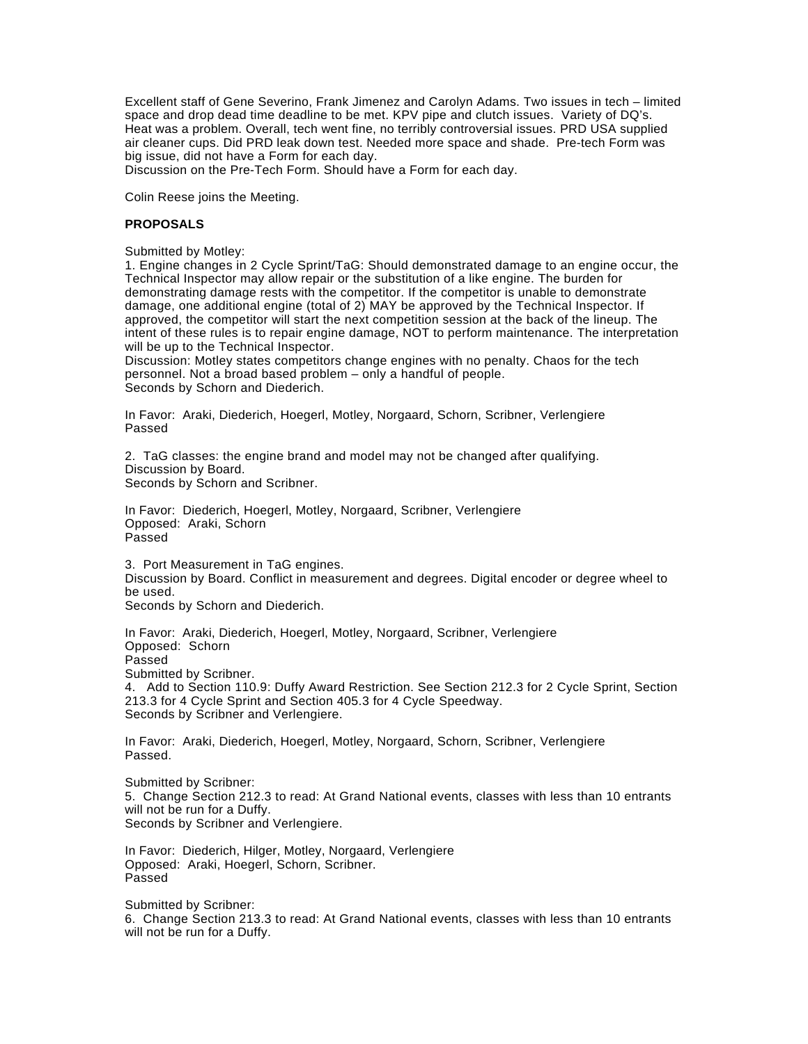Excellent staff of Gene Severino, Frank Jimenez and Carolyn Adams. Two issues in tech – limited space and drop dead time deadline to be met. KPV pipe and clutch issues. Variety of DQ's. Heat was a problem. Overall, tech went fine, no terribly controversial issues. PRD USA supplied air cleaner cups. Did PRD leak down test. Needed more space and shade. Pre-tech Form was big issue, did not have a Form for each day.

Discussion on the Pre-Tech Form. Should have a Form for each day.

Colin Reese joins the Meeting.

## **PROPOSALS**

Submitted by Motley:

1. Engine changes in 2 Cycle Sprint/TaG: Should demonstrated damage to an engine occur, the Technical Inspector may allow repair or the substitution of a like engine. The burden for demonstrating damage rests with the competitor. If the competitor is unable to demonstrate damage, one additional engine (total of 2) MAY be approved by the Technical Inspector. If approved, the competitor will start the next competition session at the back of the lineup. The intent of these rules is to repair engine damage, NOT to perform maintenance. The interpretation will be up to the Technical Inspector.

Discussion: Motley states competitors change engines with no penalty. Chaos for the tech personnel. Not a broad based problem – only a handful of people. Seconds by Schorn and Diederich.

In Favor: Araki, Diederich, Hoegerl, Motley, Norgaard, Schorn, Scribner, Verlengiere Passed

2. TaG classes: the engine brand and model may not be changed after qualifying. Discussion by Board.

Seconds by Schorn and Scribner.

In Favor: Diederich, Hoegerl, Motley, Norgaard, Scribner, Verlengiere Opposed: Araki, Schorn Passed

3. Port Measurement in TaG engines. Discussion by Board. Conflict in measurement and degrees. Digital encoder or degree wheel to be used. Seconds by Schorn and Diederich.

In Favor: Araki, Diederich, Hoegerl, Motley, Norgaard, Scribner, Verlengiere Opposed: Schorn Passed Submitted by Scribner. 4. Add to Section 110.9: Duffy Award Restriction. See Section 212.3 for 2 Cycle Sprint, Section 213.3 for 4 Cycle Sprint and Section 405.3 for 4 Cycle Speedway. Seconds by Scribner and Verlengiere.

In Favor: Araki, Diederich, Hoegerl, Motley, Norgaard, Schorn, Scribner, Verlengiere Passed.

Submitted by Scribner: 5. Change Section 212.3 to read: At Grand National events, classes with less than 10 entrants will not be run for a Duffy. Seconds by Scribner and Verlengiere.

In Favor: Diederich, Hilger, Motley, Norgaard, Verlengiere Opposed: Araki, Hoegerl, Schorn, Scribner. Passed

Submitted by Scribner: 6. Change Section 213.3 to read: At Grand National events, classes with less than 10 entrants will not be run for a Duffy.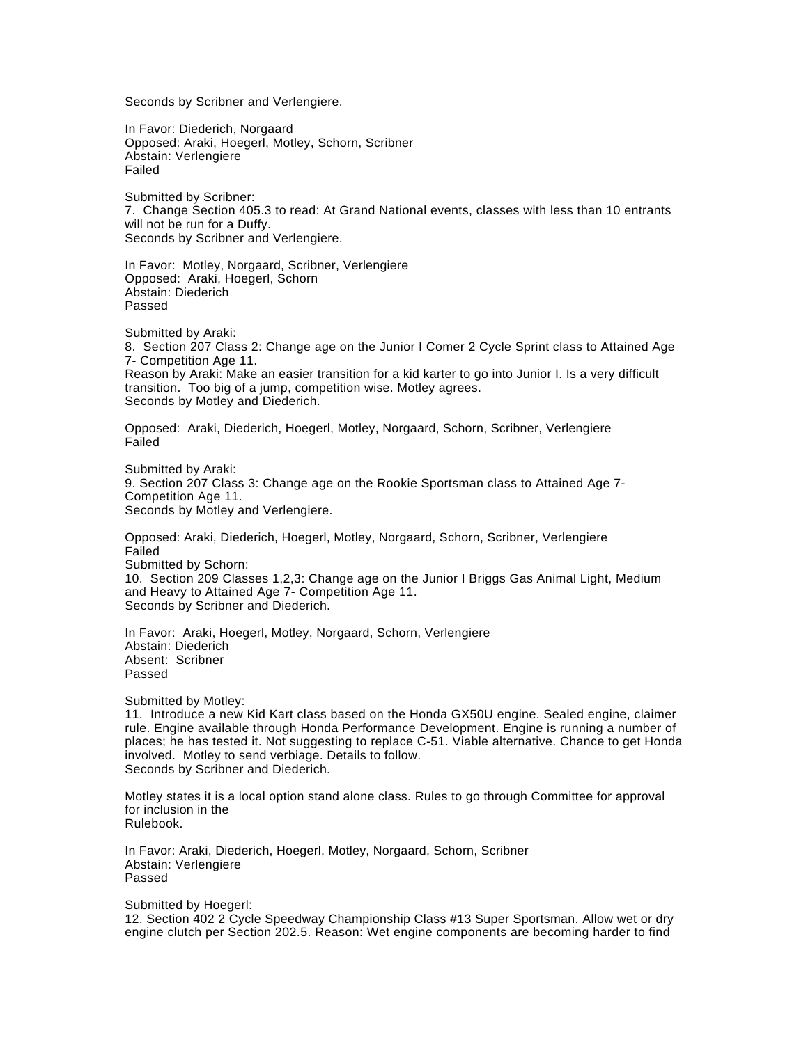Seconds by Scribner and Verlengiere.

In Favor: Diederich, Norgaard Opposed: Araki, Hoegerl, Motley, Schorn, Scribner Abstain: Verlengiere Failed

Submitted by Scribner: 7. Change Section 405.3 to read: At Grand National events, classes with less than 10 entrants will not be run for a Duffy. Seconds by Scribner and Verlengiere.

In Favor: Motley, Norgaard, Scribner, Verlengiere Opposed: Araki, Hoegerl, Schorn Abstain: Diederich Passed

Submitted by Araki: 8. Section 207 Class 2: Change age on the Junior I Comer 2 Cycle Sprint class to Attained Age 7- Competition Age 11. Reason by Araki: Make an easier transition for a kid karter to go into Junior I. Is a very difficult transition. Too big of a jump, competition wise. Motley agrees. Seconds by Motley and Diederich.

Opposed: Araki, Diederich, Hoegerl, Motley, Norgaard, Schorn, Scribner, Verlengiere Failed

Submitted by Araki: 9. Section 207 Class 3: Change age on the Rookie Sportsman class to Attained Age 7- Competition Age 11. Seconds by Motley and Verlengiere.

Opposed: Araki, Diederich, Hoegerl, Motley, Norgaard, Schorn, Scribner, Verlengiere Failed Submitted by Schorn: 10. Section 209 Classes 1,2,3: Change age on the Junior I Briggs Gas Animal Light, Medium and Heavy to Attained Age 7- Competition Age 11. Seconds by Scribner and Diederich.

In Favor: Araki, Hoegerl, Motley, Norgaard, Schorn, Verlengiere Abstain: Diederich Absent: Scribner Passed

Submitted by Motley:

11. Introduce a new Kid Kart class based on the Honda GX50U engine. Sealed engine, claimer rule. Engine available through Honda Performance Development. Engine is running a number of places; he has tested it. Not suggesting to replace C-51. Viable alternative. Chance to get Honda involved. Motley to send verbiage. Details to follow. Seconds by Scribner and Diederich.

Motley states it is a local option stand alone class. Rules to go through Committee for approval for inclusion in the Rulebook.

In Favor: Araki, Diederich, Hoegerl, Motley, Norgaard, Schorn, Scribner Abstain: Verlengiere Passed

Submitted by Hoegerl:

12. Section 402 2 Cycle Speedway Championship Class #13 Super Sportsman. Allow wet or dry engine clutch per Section 202.5. Reason: Wet engine components are becoming harder to find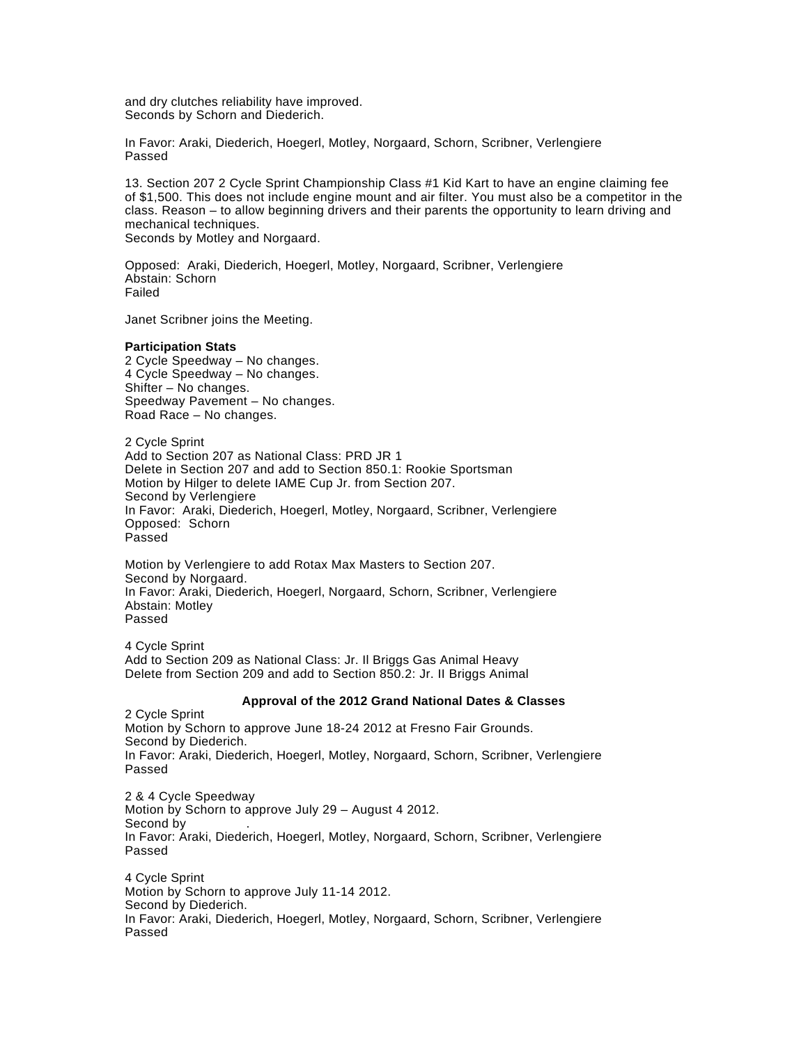and dry clutches reliability have improved. Seconds by Schorn and Diederich.

In Favor: Araki, Diederich, Hoegerl, Motley, Norgaard, Schorn, Scribner, Verlengiere Passed

13. Section 207 2 Cycle Sprint Championship Class #1 Kid Kart to have an engine claiming fee of \$1,500. This does not include engine mount and air filter. You must also be a competitor in the class. Reason – to allow beginning drivers and their parents the opportunity to learn driving and mechanical techniques. Seconds by Motley and Norgaard.

Opposed: Araki, Diederich, Hoegerl, Motley, Norgaard, Scribner, Verlengiere Abstain: Schorn Failed

Janet Scribner joins the Meeting.

#### **Participation Stats**

2 Cycle Speedway – No changes. 4 Cycle Speedway – No changes. Shifter – No changes. Speedway Pavement – No changes. Road Race – No changes.

2 Cycle Sprint Add to Section 207 as National Class: PRD JR 1 Delete in Section 207 and add to Section 850.1: Rookie Sportsman Motion by Hilger to delete IAME Cup Jr. from Section 207. Second by Verlengiere In Favor: Araki, Diederich, Hoegerl, Motley, Norgaard, Scribner, Verlengiere Opposed: Schorn Passed

Motion by Verlengiere to add Rotax Max Masters to Section 207. Second by Norgaard. In Favor: Araki, Diederich, Hoegerl, Norgaard, Schorn, Scribner, Verlengiere Abstain: Motley Passed

4 Cycle Sprint Add to Section 209 as National Class: Jr. Il Briggs Gas Animal Heavy Delete from Section 209 and add to Section 850.2: Jr. II Briggs Animal

## **Approval of the 2012 Grand National Dates & Classes**

2 Cycle Sprint Motion by Schorn to approve June 18-24 2012 at Fresno Fair Grounds. Second by Diederich. In Favor: Araki, Diederich, Hoegerl, Motley, Norgaard, Schorn, Scribner, Verlengiere Passed

2 & 4 Cycle Speedway Motion by Schorn to approve July 29 – August 4 2012. Second by In Favor: Araki, Diederich, Hoegerl, Motley, Norgaard, Schorn, Scribner, Verlengiere Passed

4 Cycle Sprint Motion by Schorn to approve July 11-14 2012. Second by Diederich. In Favor: Araki, Diederich, Hoegerl, Motley, Norgaard, Schorn, Scribner, Verlengiere Passed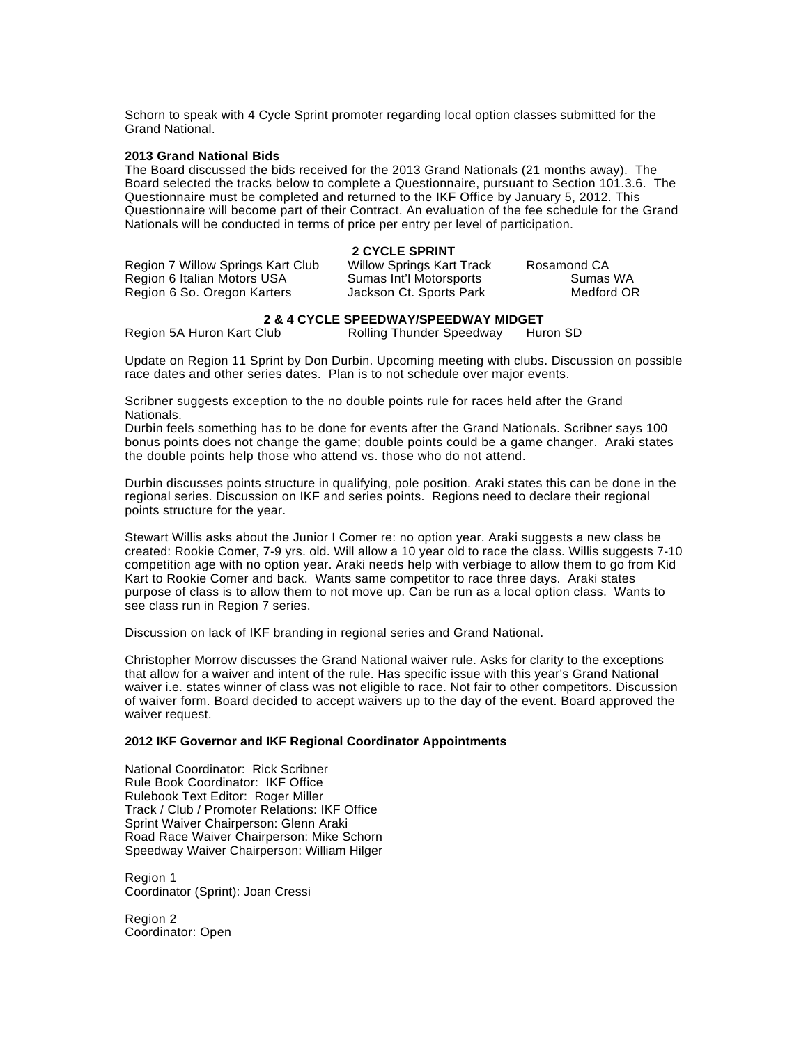Schorn to speak with 4 Cycle Sprint promoter regarding local option classes submitted for the Grand National.

#### **2013 Grand National Bids**

The Board discussed the bids received for the 2013 Grand Nationals (21 months away). The Board selected the tracks below to complete a Questionnaire, pursuant to Section 101.3.6. The Questionnaire must be completed and returned to the IKF Office by January 5, 2012. This Questionnaire will become part of their Contract. An evaluation of the fee schedule for the Grand Nationals will be conducted in terms of price per entry per level of participation.

## **2 CYCLE SPRINT**

| Region 7 Willow Springs Kart Club | <b>Willow Springs Kart Track</b> | Rosamond CA |
|-----------------------------------|----------------------------------|-------------|
| Region 6 Italian Motors USA       | Sumas Int'l Motorsports          | Sumas WA    |
| Region 6 So. Oregon Karters       | Jackson Ct. Sports Park          | Medford OR  |

# **2 & 4 CYCLE SPEEDWAY/SPEEDWAY MIDGET**<br>Rolling Thunder Speedway Hur

Rolling Thunder Speedway Huron SD

Update on Region 11 Sprint by Don Durbin. Upcoming meeting with clubs. Discussion on possible race dates and other series dates. Plan is to not schedule over major events.

Scribner suggests exception to the no double points rule for races held after the Grand Nationals.

Durbin feels something has to be done for events after the Grand Nationals. Scribner says 100 bonus points does not change the game; double points could be a game changer. Araki states the double points help those who attend vs. those who do not attend.

Durbin discusses points structure in qualifying, pole position. Araki states this can be done in the regional series. Discussion on IKF and series points. Regions need to declare their regional points structure for the year.

Stewart Willis asks about the Junior I Comer re: no option year. Araki suggests a new class be created: Rookie Comer, 7-9 yrs. old. Will allow a 10 year old to race the class. Willis suggests 7-10 competition age with no option year. Araki needs help with verbiage to allow them to go from Kid Kart to Rookie Comer and back. Wants same competitor to race three days. Araki states purpose of class is to allow them to not move up. Can be run as a local option class. Wants to see class run in Region 7 series.

Discussion on lack of IKF branding in regional series and Grand National.

Christopher Morrow discusses the Grand National waiver rule. Asks for clarity to the exceptions that allow for a waiver and intent of the rule. Has specific issue with this year's Grand National waiver i.e. states winner of class was not eligible to race. Not fair to other competitors. Discussion of waiver form. Board decided to accept waivers up to the day of the event. Board approved the waiver request.

## **2012 IKF Governor and IKF Regional Coordinator Appointments**

National Coordinator: Rick Scribner Rule Book Coordinator: IKF Office Rulebook Text Editor: Roger Miller Track / Club / Promoter Relations: IKF Office Sprint Waiver Chairperson: Glenn Araki Road Race Waiver Chairperson: Mike Schorn Speedway Waiver Chairperson: William Hilger

Region 1 Coordinator (Sprint): Joan Cressi

Region 2 Coordinator: Open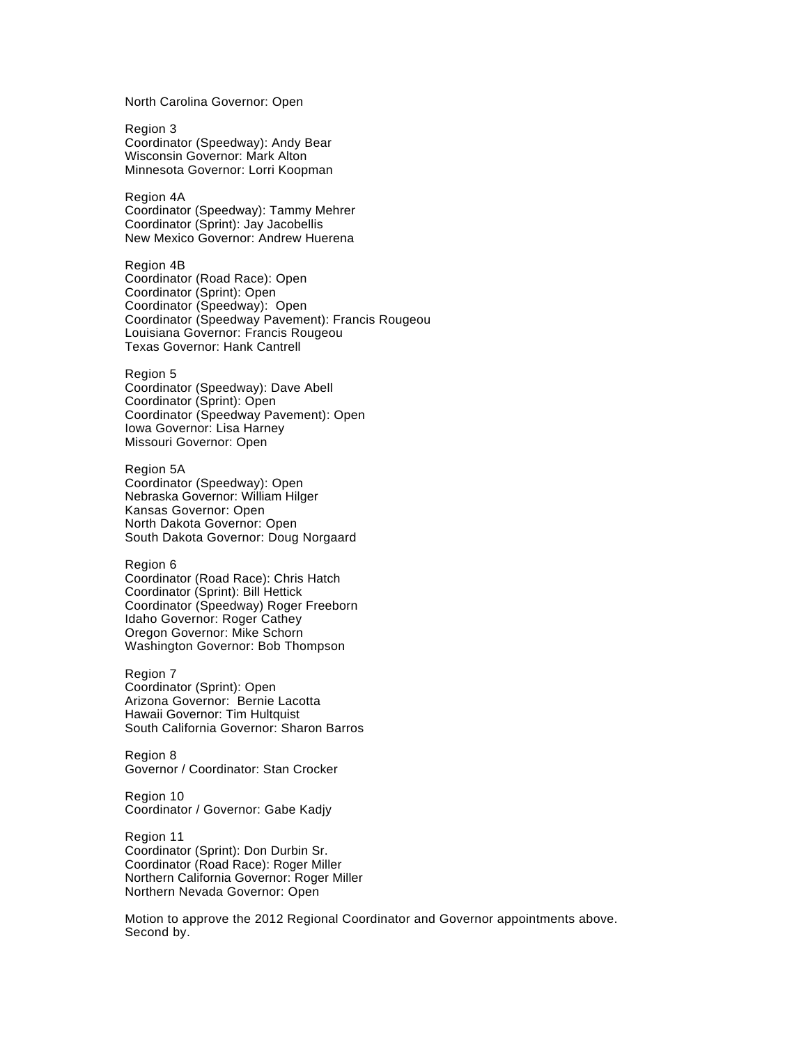North Carolina Governor: Open

Region 3 Coordinator (Speedway): Andy Bear Wisconsin Governor: Mark Alton Minnesota Governor: Lorri Koopman

Region 4A Coordinator (Speedway): Tammy Mehrer Coordinator (Sprint): Jay Jacobellis New Mexico Governor: Andrew Huerena

Region 4B Coordinator (Road Race): Open Coordinator (Sprint): Open Coordinator (Speedway): Open Coordinator (Speedway Pavement): Francis Rougeou Louisiana Governor: Francis Rougeou Texas Governor: Hank Cantrell

Region 5 Coordinator (Speedway): Dave Abell Coordinator (Sprint): Open Coordinator (Speedway Pavement): Open Iowa Governor: Lisa Harney Missouri Governor: Open

Region 5A Coordinator (Speedway): Open Nebraska Governor: William Hilger Kansas Governor: Open North Dakota Governor: Open South Dakota Governor: Doug Norgaard

Region 6 Coordinator (Road Race): Chris Hatch Coordinator (Sprint): Bill Hettick Coordinator (Speedway) Roger Freeborn Idaho Governor: Roger Cathey Oregon Governor: Mike Schorn Washington Governor: Bob Thompson

Region 7 Coordinator (Sprint): Open Arizona Governor: Bernie Lacotta Hawaii Governor: Tim Hultquist South California Governor: Sharon Barros

Region 8 Governor / Coordinator: Stan Crocker

Region 10 Coordinator / Governor: Gabe Kadjy

Region 11 Coordinator (Sprint): Don Durbin Sr. Coordinator (Road Race): Roger Miller Northern California Governor: Roger Miller Northern Nevada Governor: Open

Motion to approve the 2012 Regional Coordinator and Governor appointments above. Second by.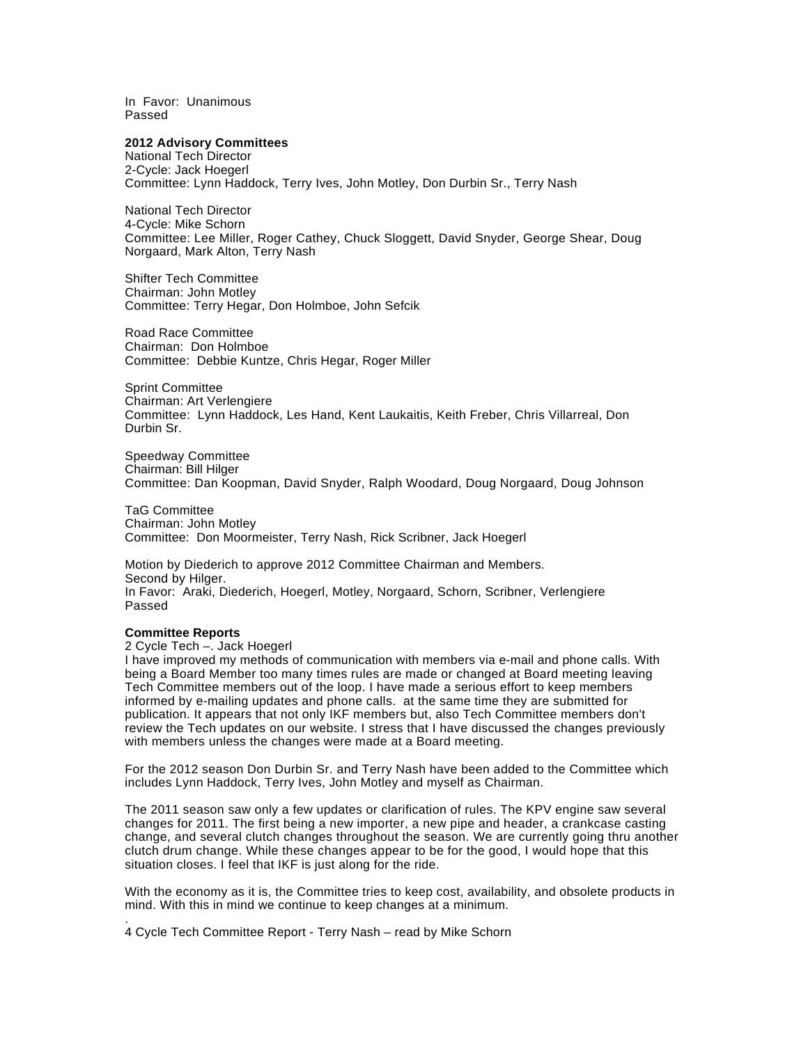In Favor: Unanimous Passed

#### **2012 Advisory Committees**

National Tech Director 2-Cycle: Jack Hoegerl Committee: Lynn Haddock, Terry Ives, John Motley, Don Durbin Sr., Terry Nash

National Tech Director 4-Cycle: Mike Schorn Committee: Lee Miller, Roger Cathey, Chuck Sloggett, David Snyder, George Shear, Doug Norgaard, Mark Alton, Terry Nash

Shifter Tech Committee Chairman: John Motley Committee: Terry Hegar, Don Holmboe, John Sefcik

Road Race Committee Chairman: Don Holmboe Committee: Debbie Kuntze, Chris Hegar, Roger Miller

Sprint Committee Chairman: Art Verlengiere Committee: Lynn Haddock, Les Hand, Kent Laukaitis, Keith Freber, Chris Villarreal, Don Durbin Sr.

Speedway Committee Chairman: Bill Hilger Committee: Dan Koopman, David Snyder, Ralph Woodard, Doug Norgaard, Doug Johnson

TaG Committee Chairman: John Motley Committee: Don Moormeister, Terry Nash, Rick Scribner, Jack Hoegerl

Motion by Diederich to approve 2012 Committee Chairman and Members. Second by Hilger. In Favor: Araki, Diederich, Hoegerl, Motley, Norgaard, Schorn, Scribner, Verlengiere Passed

#### **Committee Reports**

.

2 Cycle Tech –. Jack Hoegerl

I have improved my methods of communication with members via e-mail and phone calls. With being a Board Member too many times rules are made or changed at Board meeting leaving Tech Committee members out of the loop. I have made a serious effort to keep members informed by e-mailing updates and phone calls. at the same time they are submitted for publication. It appears that not only IKF members but, also Tech Committee members don't review the Tech updates on our website. I stress that I have discussed the changes previously with members unless the changes were made at a Board meeting.

For the 2012 season Don Durbin Sr. and Terry Nash have been added to the Committee which includes Lynn Haddock, Terry Ives, John Motley and myself as Chairman.

The 2011 season saw only a few updates or clarification of rules. The KPV engine saw several changes for 2011. The first being a new importer, a new pipe and header, a crankcase casting change, and several clutch changes throughout the season. We are currently going thru another clutch drum change. While these changes appear to be for the good, I would hope that this situation closes. I feel that IKF is just along for the ride.

With the economy as it is, the Committee tries to keep cost, availability, and obsolete products in mind. With this in mind we continue to keep changes at a minimum.

4 Cycle Tech Committee Report - Terry Nash – read by Mike Schorn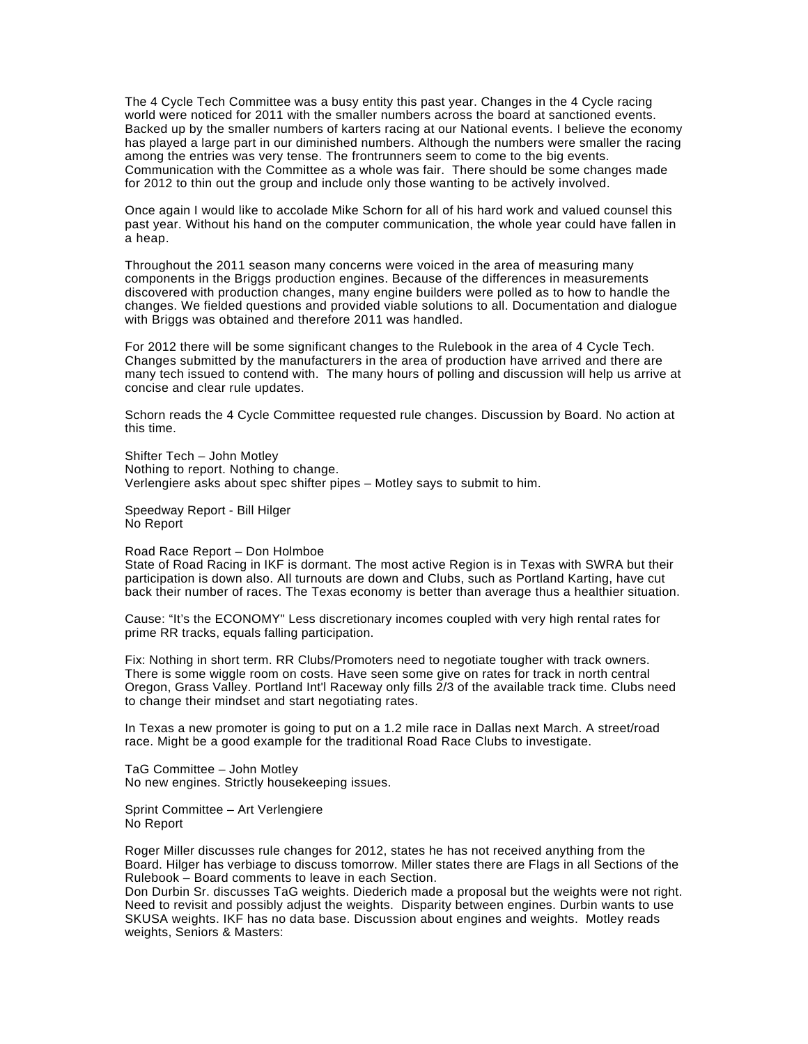The 4 Cycle Tech Committee was a busy entity this past year. Changes in the 4 Cycle racing world were noticed for 2011 with the smaller numbers across the board at sanctioned events. Backed up by the smaller numbers of karters racing at our National events. I believe the economy has played a large part in our diminished numbers. Although the numbers were smaller the racing among the entries was very tense. The frontrunners seem to come to the big events. Communication with the Committee as a whole was fair. There should be some changes made for 2012 to thin out the group and include only those wanting to be actively involved.

Once again I would like to accolade Mike Schorn for all of his hard work and valued counsel this past year. Without his hand on the computer communication, the whole year could have fallen in a heap.

Throughout the 2011 season many concerns were voiced in the area of measuring many components in the Briggs production engines. Because of the differences in measurements discovered with production changes, many engine builders were polled as to how to handle the changes. We fielded questions and provided viable solutions to all. Documentation and dialogue with Briggs was obtained and therefore 2011 was handled.

For 2012 there will be some significant changes to the Rulebook in the area of 4 Cycle Tech. Changes submitted by the manufacturers in the area of production have arrived and there are many tech issued to contend with. The many hours of polling and discussion will help us arrive at concise and clear rule updates.

Schorn reads the 4 Cycle Committee requested rule changes. Discussion by Board. No action at this time.

Shifter Tech – John Motley Nothing to report. Nothing to change. Verlengiere asks about spec shifter pipes – Motley says to submit to him.

Speedway Report - Bill Hilger No Report

#### Road Race Report – Don Holmboe

State of Road Racing in IKF is dormant. The most active Region is in Texas with SWRA but their participation is down also. All turnouts are down and Clubs, such as Portland Karting, have cut back their number of races. The Texas economy is better than average thus a healthier situation.

Cause: "It's the ECONOMY" Less discretionary incomes coupled with very high rental rates for prime RR tracks, equals falling participation.

Fix: Nothing in short term. RR Clubs/Promoters need to negotiate tougher with track owners. There is some wiggle room on costs. Have seen some give on rates for track in north central Oregon, Grass Valley. Portland Int'l Raceway only fills 2/3 of the available track time. Clubs need to change their mindset and start negotiating rates.

In Texas a new promoter is going to put on a 1.2 mile race in Dallas next March. A street/road race. Might be a good example for the traditional Road Race Clubs to investigate.

TaG Committee – John Motley No new engines. Strictly housekeeping issues.

Sprint Committee – Art Verlengiere No Report

Roger Miller discusses rule changes for 2012, states he has not received anything from the Board. Hilger has verbiage to discuss tomorrow. Miller states there are Flags in all Sections of the Rulebook – Board comments to leave in each Section.

Don Durbin Sr. discusses TaG weights. Diederich made a proposal but the weights were not right. Need to revisit and possibly adjust the weights. Disparity between engines. Durbin wants to use SKUSA weights. IKF has no data base. Discussion about engines and weights. Motley reads weights, Seniors & Masters: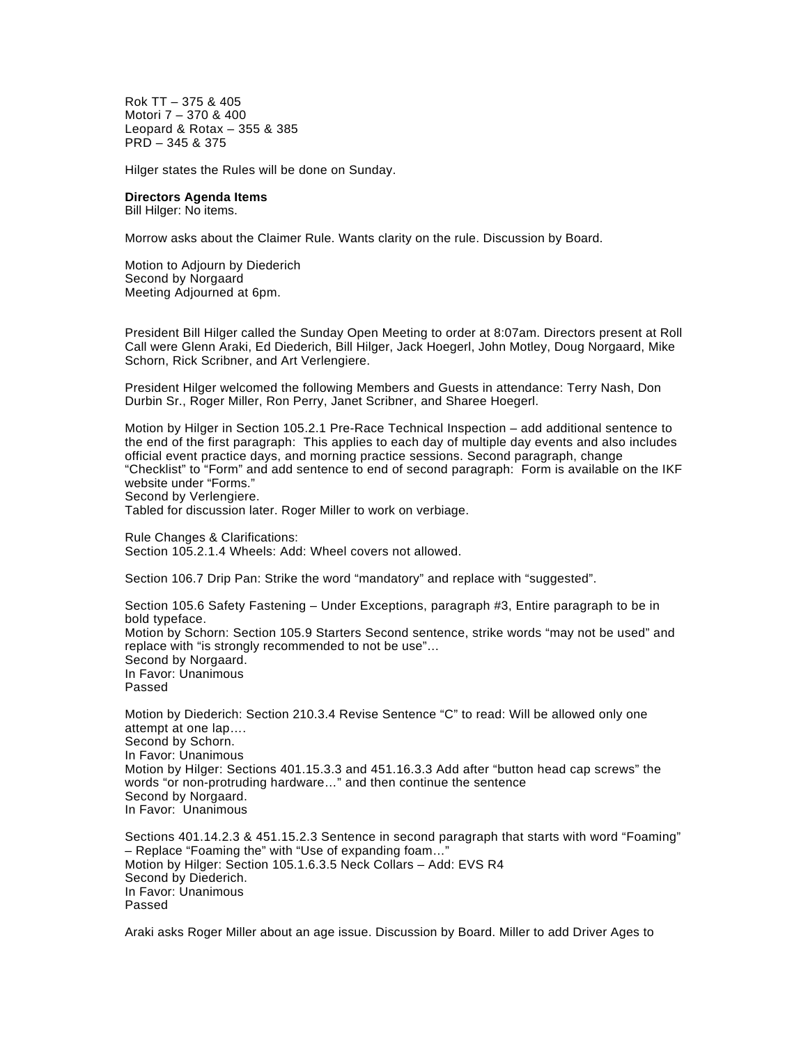Rok TT – 375 & 405 Motori 7 – 370 & 400 Leopard & Rotax – 355 & 385 PRD – 345 & 375

Hilger states the Rules will be done on Sunday.

## **Directors Agenda Items**

Bill Hilger: No items.

Morrow asks about the Claimer Rule. Wants clarity on the rule. Discussion by Board.

Motion to Adjourn by Diederich Second by Norgaard Meeting Adjourned at 6pm.

President Bill Hilger called the Sunday Open Meeting to order at 8:07am. Directors present at Roll Call were Glenn Araki, Ed Diederich, Bill Hilger, Jack Hoegerl, John Motley, Doug Norgaard, Mike Schorn, Rick Scribner, and Art Verlengiere.

President Hilger welcomed the following Members and Guests in attendance: Terry Nash, Don Durbin Sr., Roger Miller, Ron Perry, Janet Scribner, and Sharee Hoegerl.

Motion by Hilger in Section 105.2.1 Pre-Race Technical Inspection – add additional sentence to the end of the first paragraph: This applies to each day of multiple day events and also includes official event practice days, and morning practice sessions. Second paragraph, change "Checklist" to "Form" and add sentence to end of second paragraph: Form is available on the IKF website under "Forms." Second by Verlengiere.

Tabled for discussion later. Roger Miller to work on verbiage.

Rule Changes & Clarifications: Section 105.2.1.4 Wheels: Add: Wheel covers not allowed.

Section 106.7 Drip Pan: Strike the word "mandatory" and replace with "suggested".

Section 105.6 Safety Fastening – Under Exceptions, paragraph #3, Entire paragraph to be in bold typeface. Motion by Schorn: Section 105.9 Starters Second sentence, strike words "may not be used" and replace with "is strongly recommended to not be use"… Second by Norgaard. In Favor: Unanimous Passed

Motion by Diederich: Section 210.3.4 Revise Sentence "C" to read: Will be allowed only one attempt at one lap…. Second by Schorn. In Favor: Unanimous Motion by Hilger: Sections 401.15.3.3 and 451.16.3.3 Add after "button head cap screws" the words "or non-protruding hardware…" and then continue the sentence Second by Norgaard. In Favor: Unanimous

Sections 401.14.2.3 & 451.15.2.3 Sentence in second paragraph that starts with word "Foaming" – Replace "Foaming the" with "Use of expanding foam…" Motion by Hilger: Section 105.1.6.3.5 Neck Collars – Add: EVS R4 Second by Diederich. In Favor: Unanimous Passed

Araki asks Roger Miller about an age issue. Discussion by Board. Miller to add Driver Ages to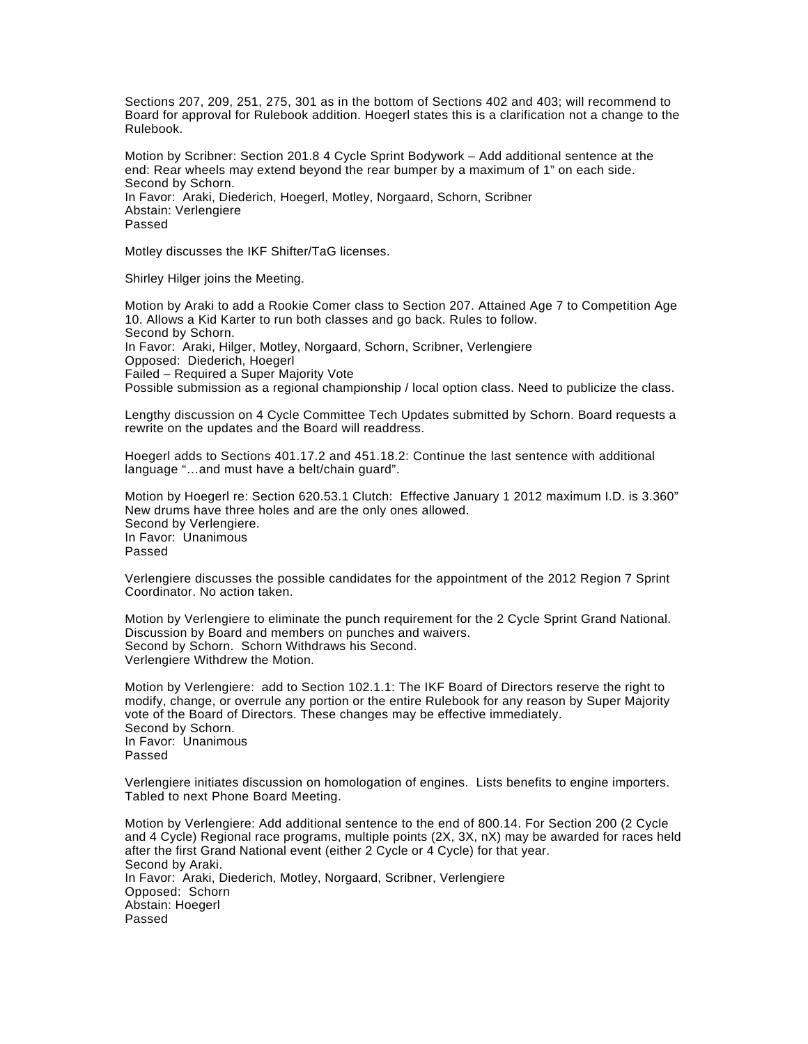Sections 207, 209, 251, 275, 301 as in the bottom of Sections 402 and 403; will recommend to Board for approval for Rulebook addition. Hoegerl states this is a clarification not a change to the Rulebook.

Motion by Scribner: Section 201.8 4 Cycle Sprint Bodywork – Add additional sentence at the end: Rear wheels may extend beyond the rear bumper by a maximum of 1" on each side. Second by Schorn. In Favor: Araki, Diederich, Hoegerl, Motley, Norgaard, Schorn, Scribner Abstain: Verlengiere Passed

Motley discusses the IKF Shifter/TaG licenses.

Shirley Hilger joins the Meeting.

Motion by Araki to add a Rookie Comer class to Section 207. Attained Age 7 to Competition Age 10. Allows a Kid Karter to run both classes and go back. Rules to follow. Second by Schorn.

In Favor: Araki, Hilger, Motley, Norgaard, Schorn, Scribner, Verlengiere Opposed: Diederich, Hoegerl Failed – Required a Super Majority Vote

Possible submission as a regional championship / local option class. Need to publicize the class.

Lengthy discussion on 4 Cycle Committee Tech Updates submitted by Schorn. Board requests a rewrite on the updates and the Board will readdress.

Hoegerl adds to Sections 401.17.2 and 451.18.2: Continue the last sentence with additional language "…and must have a belt/chain guard".

Motion by Hoegerl re: Section 620.53.1 Clutch: Effective January 1 2012 maximum I.D. is 3.360" New drums have three holes and are the only ones allowed. Second by Verlengiere. In Favor: Unanimous Passed

Verlengiere discusses the possible candidates for the appointment of the 2012 Region 7 Sprint Coordinator. No action taken.

Motion by Verlengiere to eliminate the punch requirement for the 2 Cycle Sprint Grand National. Discussion by Board and members on punches and waivers. Second by Schorn. Schorn Withdraws his Second. Verlengiere Withdrew the Motion.

Motion by Verlengiere: add to Section 102.1.1: The IKF Board of Directors reserve the right to modify, change, or overrule any portion or the entire Rulebook for any reason by Super Majority vote of the Board of Directors. These changes may be effective immediately. Second by Schorn. In Favor: Unanimous Passed

Verlengiere initiates discussion on homologation of engines. Lists benefits to engine importers. Tabled to next Phone Board Meeting.

Motion by Verlengiere: Add additional sentence to the end of 800.14. For Section 200 (2 Cycle and 4 Cycle) Regional race programs, multiple points (2X, 3X, nX) may be awarded for races held after the first Grand National event (either 2 Cycle or 4 Cycle) for that year. Second by Araki. In Favor: Araki, Diederich, Motley, Norgaard, Scribner, Verlengiere Opposed: Schorn Abstain: Hoegerl Passed